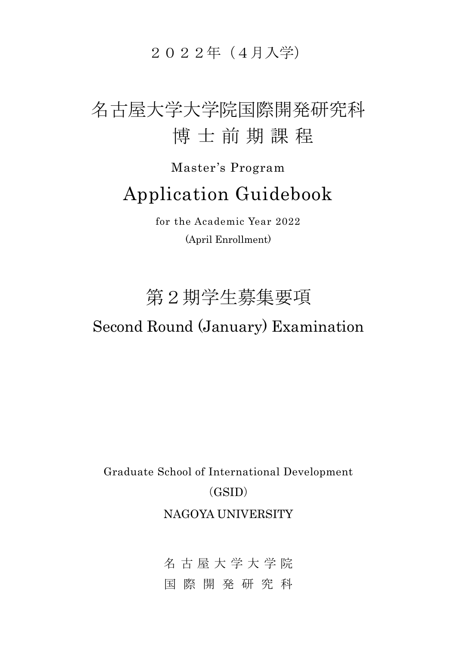2022年(4月入学)

# 名古屋大学大学院国際開発研究科 博 士 前 期 課 程

# Master's Program Application Guidebook

for the Academic Year 2022 (April Enrollment)

# 第2期学生募集要項

### Second Round (January) Examination

Graduate School of International Development (GSID) NAGOYA UNIVERSITY

> 名古屋大学大学 院 国 際開発 研 究 科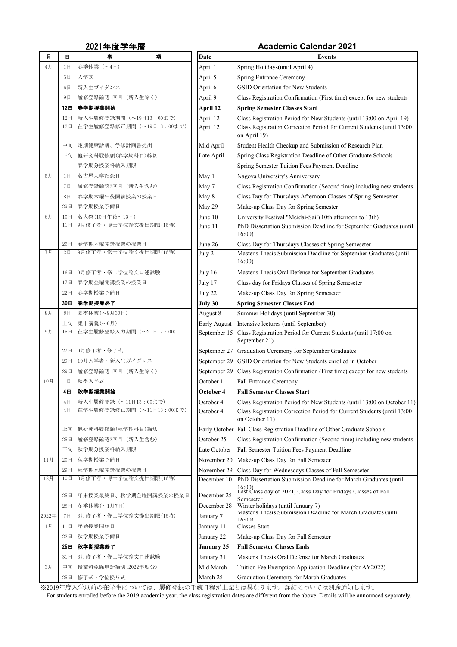| 月     | 日               | 事<br>項                                             | <b>Date</b>            | <b>Events</b>                                                                                                                                                      |
|-------|-----------------|----------------------------------------------------|------------------------|--------------------------------------------------------------------------------------------------------------------------------------------------------------------|
| 4月    | 1日              | 春季休業 (~4日)                                         | April 1                | Spring Holidays (until April 4)                                                                                                                                    |
|       | 5E              | 入学式                                                | April 5                | <b>Spring Entrance Ceremony</b>                                                                                                                                    |
|       | $6 \Box$        | 新入生ガイダンス                                           | April 6                | <b>GSID Orientation for New Students</b>                                                                                                                           |
|       | 9 <sub>1</sub>  | 履修登録確認1回目<br>(新入生除く)                               | April 9                | Class Registration Confirmation (First time) except for new students                                                                                               |
|       | 12 <sub>H</sub> | 春学期授業開始                                            | <b>April 12</b>        | <b>Spring Semester Classes Start</b>                                                                                                                               |
|       | 12日             | 新入生履修登録期間 (~19日13:00まで)                            | April 12               | Class Registration Period for New Students (until 13:00 on April 19)                                                                                               |
|       | 12日             | 在学生履修登録修正期間 (~19日13:00まで)                          | April 12               | Class Registration Correction Period for Current Students (until 13:00                                                                                             |
|       |                 |                                                    |                        | on April 19)                                                                                                                                                       |
|       | 中旬              | 定期健康診断、学修計画書提出                                     | Mid April              | Student Health Checkup and Submission of Research Plan                                                                                                             |
|       | 下旬              | 他研究科履修願(春学期科目)締切                                   | Late April             | Spring Class Registration Deadline of Other Graduate Schools                                                                                                       |
|       |                 | 春学期分授業料納入期限                                        |                        | Spring Semester Tuition Fees Payment Deadline                                                                                                                      |
| 5月    | 1日              | 名古屋大学記念日                                           | May 1                  | Nagoya University's Anniversary                                                                                                                                    |
|       | 7日              | 履修登録確認2回目 (新入生含む)                                  | May 7                  | Class Registration Confirmation (Second time) including new students                                                                                               |
|       | 8 <sup>th</sup> | 春学期木曜午後開講授業の授業日                                    | May 8                  | Class Day for Thursdays Afternoon Classes of Spring Semeseter                                                                                                      |
|       | 29日             | 春学期授業予備日                                           | May 29                 | Make-up Class Day for Spring Semester                                                                                                                              |
| 6月    | 10日<br>11日      | 名大祭(10日午後~13日)<br> 9月修了者・博士学位論文提出期限(16時)           | June 10                | University Festival "Meidai-Sai"(10th afternoon to 13th)                                                                                                           |
|       |                 |                                                    | June 11                | PhD Dissertation Submission Deadline for September Graduates (until<br>16:00                                                                                       |
|       | 26日             | 春学期木曜開講授業の授業日                                      | June 26                | Class Day for Thursdays Classes of Spring Semeseter                                                                                                                |
| 7月    | 2E              | 9月修了者·修士学位論文提出期限(16時)                              | July 2                 | Master's Thesis Submission Deadline for September Graduates (until<br>16:00                                                                                        |
|       | $16 \Box$       | 9月修了者・修士学位論文口述試験                                   | July 16                | Master's Thesis Oral Defense for September Graduates                                                                                                               |
|       | 17日             | 春学期金曜開講授業の授業日                                      | July 17                | Class day for Fridays Classes of Spring Semeseter                                                                                                                  |
|       | 22日             | 春学期授業予備日                                           | July 22                | Make-up Class Day for Spring Semeseter                                                                                                                             |
|       | 30日             | │春学期授業終了                                           | July 30                | <b>Spring Semester Classes End</b>                                                                                                                                 |
| 8月    | 8 <sup>th</sup> | 夏季休業(~9月30日)                                       | August 8               | Summer Holidays (until September 30)                                                                                                                               |
|       | 上旬              | 集中講義(~9月)                                          | Early August           | Intensive lectures (until September)                                                                                                                               |
| 9月    | 15日             | 在学生履修登録入力期間 (~21日17:00)                            |                        | September 15   Class Registration Period for Current Students (until 17:00 on<br>September 21)                                                                     |
|       | 27日             | 9月修了者・修了式                                          | September 27           | Graduation Ceremony for September Graduates                                                                                                                        |
|       | 29日             | 10月入学者・新入生ガイダンス                                    |                        | September 29 GSID Orientation for New Students enrolled in October                                                                                                 |
|       | 29日             | 履修登録確認1回目 (新入生除く)                                  |                        | September 29   Class Registration Confirmation (First time) except for new students                                                                                |
| 10月   | 1日              | 秋季入学式                                              | October 1              | <b>Fall Entrance Ceremony</b>                                                                                                                                      |
|       | 4日              | 秋学期授業開始                                            | <b>October 4</b>       | <b>Fall Semester Classes Start</b>                                                                                                                                 |
|       | 4E<br>4E        | 新入生履修登録 (~11日13:00まで)<br>在学生履修登録修正期間 (~11日13:00まで) | October 4<br>October 4 | Class Registration Period for New Students (until 13:00 on October 11)<br>Class Registration Correction Period for Current Students (until 13:00<br>on October 11) |
|       | 上旬              | 他研究科履修願(秋学期科目)締切                                   |                        | Early October   Fall Class Registration Deadline of Other Graduate Schools                                                                                         |
|       | 25日             | 履修登録確認2回目 (新入生含む)                                  | October 25             | Class Registration Confirmation (Second time) including new students                                                                                               |
|       | 下旬              | 秋学期分授業料納入期限                                        | Late October           | <b>Fall Semester Tuition Fees Payment Deadline</b>                                                                                                                 |
| 11月   | 20日             | 秋学期授業予備日                                           | November 20            | Make-up Class Day for Fall Semester                                                                                                                                |
|       | 29日             | 秋学期水曜開講授業の授業日                                      | November 29            | Class Day for Wednesdays Classes of Fall Semeseter                                                                                                                 |
| 12月   | 10日             | 3月修了者·博士学位論文提出期限(16時)                              | December 10            | PhD Dissertation Submission Deadline for March Graduates (until                                                                                                    |
|       | 25日             | 年末授業最終日、秋学期金曜開講授業の授業日                              | December 25            | 16:00<br>Last Class day of 2021, Class Day for Fridays Classes of Fall<br>Semeseter                                                                                |
|       | 28日             | 冬季休業(~1月7日)                                        | December 28            | Winter holidays (until January 7)                                                                                                                                  |
| 2022年 | 7日              | 3月修了者·修士学位論文提出期限(16時)                              | January 7              | Master's Thesis Submission Deadline for March Graduates (until<br>16:00                                                                                            |
| 1月    | 11E             | 年始授業開始日                                            | January 11             | <b>Classes Start</b>                                                                                                                                               |
|       | 22日             | 秋学期授業予備日                                           | January 22             | Make-up Class Day for Fall Semester                                                                                                                                |
|       | 25E             | │秋学期授業終了                                           | <b>January 25</b>      | <b>Fall Semester Classes Ends</b>                                                                                                                                  |
|       | 31日             | 3月修了者・修士学位論文口述試験                                   | January 31             | Master's Thesis Oral Defense for March Graduates                                                                                                                   |
| 3月    | 中旬              | 授業料免除申請締切(2022年度分)                                 | Mid March              | Tuition Fee Exemption Application Deadline (for AY2022)                                                                                                            |
|       | 25日             | 修了式·学位授与式                                          | March 25               | <b>Graduation Ceremony for March Graduates</b>                                                                                                                     |

### 2021年度学年暦 **Academic Calendar 2021**

※2019年度入学以前の在学生については、履修登録の手続日程が上記とは異なります。詳細については別途通知します。

For students enrolled before the 2019 academic year, the class registration dates are different from the above. Details will be announced separately.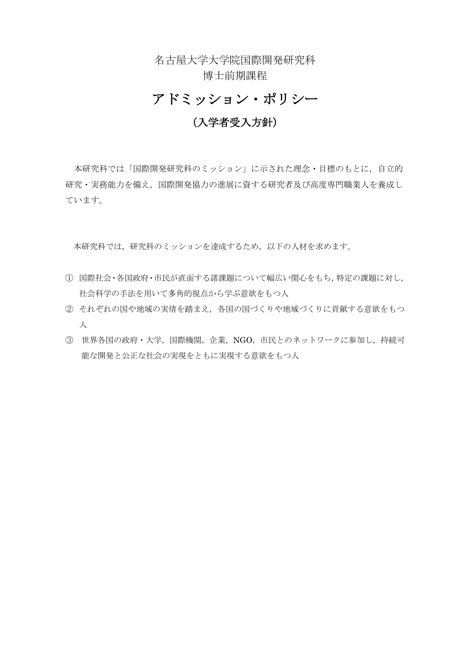名古屋大学大学院国際開発研究科 博士前期課程

### アドミッション・ポリシー

### (入学者受入方針)

本研究科では「国際開発研究科のミッション」に示された理念・目標のもとに,自立的 研究・実務能力を備え,国際開発協力の進展に資する研究者及び高度専門職業人を養成し ています。

本研究科では,研究科のミッションを達成するため,以下の人材を求めます。

- ① 国際社会・各国政府・市民が直面する諸課題について幅広い関心をもち,特定の課題に対し, 社会科学の手法を用いて多角的視点から学ぶ意欲をもつ人
- ② それぞれの国や地域の実情を踏まえ,各国の国づくりや地域づくりに貢献する意欲をもつ 人
- ③ 世界各国の政府・大学,国際機関,企業,NGO,市民とのネットワークに参加し,持続可 能な開発と公正な社会の実現をともに実現する意欲をもつ人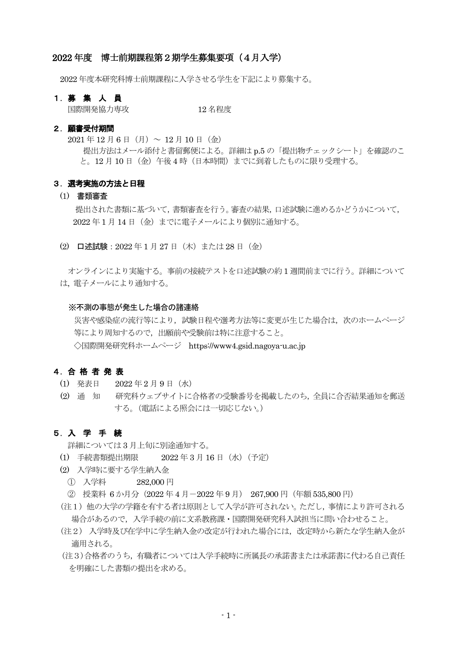#### 2022 年度 博士前期課程第2期学生募集要項(4月入学)

2022 年度本研究科博士前期課程に入学させる学生を下記により募集する。

#### 1.募 集 人 員

国際開発協力専攻 12 名程度

#### 2.願書受付期間

 $2021 \n \n \n \n 12 \n \n 16 \n \n 17 \n \n 16 \n \n 10 \n \n 17 \n \n 10 \n \n 17 \n \n 10 \n \n 19 \n \n 10 \n \n 10 \n \n 10 \n \n 10 \n \n 10 \n \n 10 \n \n 11 \n \n 10 \n \n 10 \n \n 11 \n \n 12 \n \n 13 \n \n 14 \n$ 提出方法はメール添付と書留郵便による。詳細は p.5 の「提出物チェックシート」を確認のこ と。12月10日(金)午後4時(日本時間)までに到着したものに限り受理する。

#### 3.選考実施の方法と日程

#### (1) 書類審査

 提出された書類に基づいて,書類審査を行う。審査の結果,口述試験に進めるかどうかについて, 2022 年 1 月 14 日(金)までに電子メールにより個別に通知する。

(2) 口述試験:2022 年 1 月 27 日(木)または 28 日(金)

オンラインにより実施する。事前の接続テストを口述試験の約 1 週間前までに行う。詳細について は, 電子メールにより通知する。

#### ※不測の事態が発生した場合の諸連絡

災害や感染症の流行等により、試験日程や選考方法等に変更が生じた場合は、次のホームページ 等により周知するので,出願前や受験前は特に注意すること。 ◇国際開発研究科ホームページ https://www4.gsid.nagoya-u.ac.jp

#### 4.合格者発 表

- (1) 発表日 2022 年 2 月 9 日(水)
- (2) 通 知 研究科ウェブサイトに合格者の受験番号を掲載したのち,全員に合否結果通知を郵送 する。(電話による照会には一切応じない。)

#### 5.入 学 手 続

詳細については 3 月上旬に別途通知する。

- (1) 手続書類提出期限 2022 年 3 月 16 日(水)(予定)
- (2) 入学時に要する学生納入金
	- ① 入学料 282,000 円
	- ② 授業料 6 か月分(2022 年 4 月-2022 年 9 月) 267,900 円(年額 535,800 円)
- (注1) 他の大学の学籍を有する者は原則として入学が許可されない。ただし,事情により許可される 場合があるので,入学手続の前に文系教務課・国際開発研究科入試担当に問い合わせること。
- (注2) 入学時及び在学中に学生納入金の改定が行われた場合には,改定時から新たな学生納入金が 適用される。
- (注3)合格者のうち,有職者については入学手続時に所属長の承諾書または承諾書に代わる自己責任 を明確にした書類の提出を求める。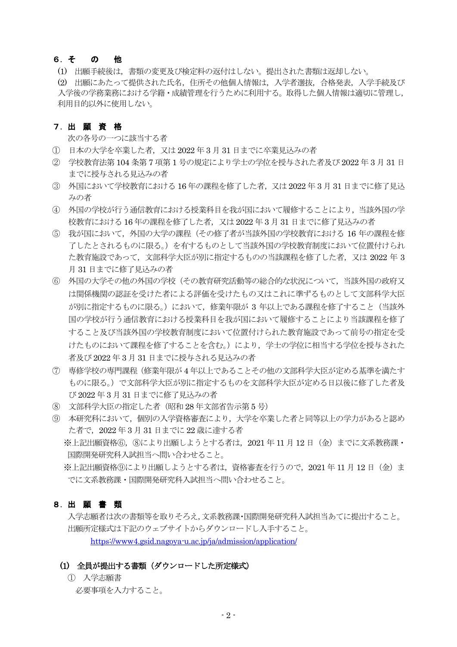#### 6.そ の 他

(1) 出願手続後は,書類の変更及び検定料の返付はしない。提出された書類は返却しない。 (2) 出願にあたって提供された氏名,住所その他個人情報は,入学者選抜,合格発表,入学手続及び 入学後の学務業務における学籍・成績管理を行うために利用する。取得した個人情報は適切に管理し, 利用目的以外に使用しない。

#### 7.出 願 資 格

次の各号の一つに該当する者

- ① 日本の大学を卒業した者,又は 2022 年 3 月 31 日までに卒業見込みの者
- ② 学校教育法第 104 条第 7 項第 1 号の規定により学士の学位を授与された者及び 2022 年 3 月 31 日 までに授与される見込みの者
- ③ 外国において学校教育における 16 年の課程を修了した者,又は 2022 年 3 月 31 日までに修了見込 みの者
- ④ 外国の学校が行う通信教育における授業科目を我が国において履修することにより,当該外国の学 校教育における 16 年の課程を修了した者,又は 2022 年 3 月 31 日までに修了見込みの者
- ⑤ 我が国において,外国の大学の課程(その修了者が当該外国の学校教育における 16 年の課程を修 了したとされるものに限る。)を有するものとして当該外国の学校教育制度において位置付けられ た教育施設であって,文部科学大臣が別に指定するものの当該課程を修了した者,又は 2022 年 3 月 31 日までに修了見込みの者
- ⑥ 外国の大学その他の外国の学校(その教育研究活動等の総合的な状況について,当該外国の政府又 は関係機関の認証を受けた者による評価を受けたもの又はこれに準ずるものとして文部科学大臣 が別に指定するものに限る。)において,修業年限が 3 年以上である課程を修了すること(当該外 国の学校が行う通信教育における授業科目を我が国において履修することにより当該課程を修了 すること及び当該外国の学校教育制度において位置付けられた教育施設であって前号の指定を受 けたものにおいて課程を修了することを含む。)により,学士の学位に相当する学位を授与された 者及び 2022 年 3 月 31 日までに授与される見込みの者
- ⑦ 専修学校の専門課程(修業年限が 4 年以上であることその他の文部科学大臣が定める基準を満たす ものに限る。)で文部科学大臣が別に指定するものを文部科学大臣が定める日以後に修了した者及 び 2022 年 3 月 31 日までに修了見込みの者
- ⑧ 文部科学大臣の指定した者(昭和 28 年文部省告示第 5 号)
- ⑨ 本研究科において,個別の入学資格審査により,大学を卒業した者と同等以上の学力があると認め た者で,2022 年 3 月 31 日までに 22 歳に達する者

※上記出願資格⑥,⑧により出願しようとする者は,2021 年 11 月 12 日(金)までに文系教務課・ 国際開発研究科入試担当へ問い合わせること。

※上記出願資格⑨により出願しようとする者は、資格審査を行うので、2021年11月12日(金)ま でに文系教務課・国際開発研究科入試担当へ問い合わせること。

#### 8.出 願 書 類

 入学志願者は次の書類等を取りそろえ,文系教務課・国際開発研究科入試担当あてに提出すること。 出願所定様式は下記のウェブサイトからダウンロードし入手すること。

<https://www4.gsid.nagoya-u.ac.jp/ja/admission/application/>

#### (1) 全員が提出する書類(ダウンロードした所定様式)

 ① 入学志願書 必要事項を入力すること。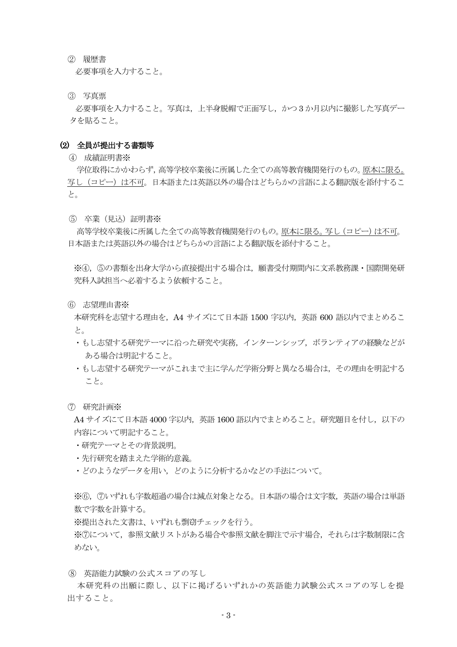② 履歴書

必要事項を入力すること。

③ 写真票

 必要事項を入力すること。写真は,上半身脱帽で正面写し,かつ 3 か月以内に撮影した写真デー タを貼ること。

#### (2) 全員が提出する書類等

④ 成績証明書※

 学位取得にかかわらず,高等学校卒業後に所属した全ての高等教育機関発行のもの。原本に限る。 写し(コピー)は不可。日本語または英語以外の場合はどちらかの言語による翻訳版を添付するこ と。

⑤ 卒業(見込)証明書※

 高等学校卒業後に所属した全ての高等教育機関発行のもの。原本に限る。写し(コピー)は不可。 日本語または英語以外の場合はどちらかの言語による翻訳版を添付すること。

※④,⑤の書類を出身大学から直接提出する場合は,願書受付期間内に文系教務課・国際開発研 究科入試担当へ必着するよう依頼すること。

⑥ 志望理由書※

本研究科を志望する理由を,A4 サイズにて日本語 1500 字以内,英語 600 語以内でまとめるこ と。

- ・もし志望する研究テーマに沿った研究や実務,インターンシップ,ボランティアの経験などが ある場合は明記すること。
- ・もし志望する研究テーマがこれまで主に学んだ学術分野と異なる場合は,その理由を明記する こと。
- ⑦ 研究計画※

A4 サイズにて日本語 4000 字以内,英語 1600 語以内でまとめること。研究題目を付し,以下の 内容について明記すること。

- ・研究テーマとその背景説明。
- ・先行研究を踏まえた学術的意義。
- ・どのようなデータを用い,どのように分析するかなどの手法について。

※⑥,⑦いずれも字数超過の場合は減点対象となる。日本語の場合は文字数,英語の場合は単語 数で字数を計算する。

※提出された文書は、いずれも剽窃チェックを行う。

※⑦について,参照文献リストがある場合や参照文献を脚注で示す場合,それらは字数制限に含 めない。

⑧ 英語能力試験の公式スコアの写し

本研究科の出願に際し、以下に掲げるいずれかの英語能力試験公式スコアの写しを提 出すること。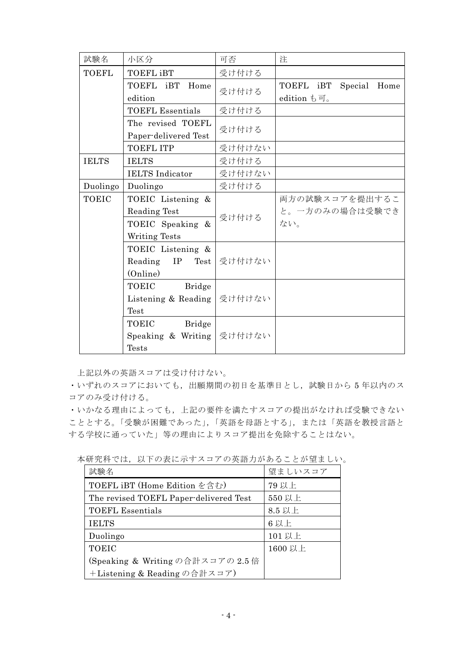| 試験名               | 小区分                     | 可否     | 注                            |
|-------------------|-------------------------|--------|------------------------------|
| <b>TOEFL</b>      | <b>TOEFL iBT</b>        | 受け付ける  |                              |
|                   | TOEFL iBT<br>Home       | 受け付ける  | TOEFL iBT<br>Special<br>Home |
|                   | edition                 |        | edition も可。                  |
|                   | <b>TOEFL Essentials</b> | 受け付ける  |                              |
| The revised TOEFL |                         | 受け付ける  |                              |
|                   | Paper-delivered Test    |        |                              |
|                   | <b>TOEFL ITP</b>        | 受け付けない |                              |
| <b>IELTS</b>      | <b>IELTS</b>            | 受け付ける  |                              |
|                   | <b>IELTS</b> Indicator  | 受け付けない |                              |
| Duolingo          | Duolingo                | 受け付ける  |                              |
| <b>TOEIC</b>      | TOEIC Listening &       | 受け付ける  | 両方の試験スコアを提出するこ               |
|                   | Reading Test            |        | と。一方のみの場合は受験でき               |
|                   | TOEIC Speaking &        |        | ない。                          |
|                   | Writing Tests           |        |                              |
|                   | TOEIC Listening &       |        |                              |
|                   | Reading<br>IP<br>Test   | 受け付けない |                              |
|                   | (Online)                |        |                              |
|                   | TOEIC<br><b>Bridge</b>  |        |                              |
|                   | Listening & Reading     | 受け付けない |                              |
|                   | Test                    |        |                              |
|                   | TOEIC<br><b>Bridge</b>  |        |                              |
|                   | Speaking & Writing      | 受け付けない |                              |
|                   | <b>Tests</b>            |        |                              |

上記以外の英語スコアは受け付けない。

・いずれのスコアにおいても,出願期間の初日を基準日とし,試験日から 5 年以内のス コアのみ受け付ける。

・いかなる理由によっても,上記の要件を満たすスコアの提出がなければ受験できない こととする。「受験が困難であった」,「英語を母語とする」,または「英語を教授言語と する学校に通っていた」等の理由によりスコア提出を免除することはない。

| 試験名                                    | 望ましいスコア |
|----------------------------------------|---------|
| TOEFL iBT (Home Edition を含む)           | 79 以上   |
| The revised TOEFL Paper-delivered Test | 550 以上  |
| <b>TOEFL Essentials</b>                | 8.5 以上  |
| <b>IELTS</b>                           | 6以上     |
| Duolingo                               | 101以上   |
| <b>TOEIC</b>                           | 1600 以上 |
| (Speaking & Writing の合計スコアの 2.5倍       |         |
| +Listening & Reading の合計スコア)           |         |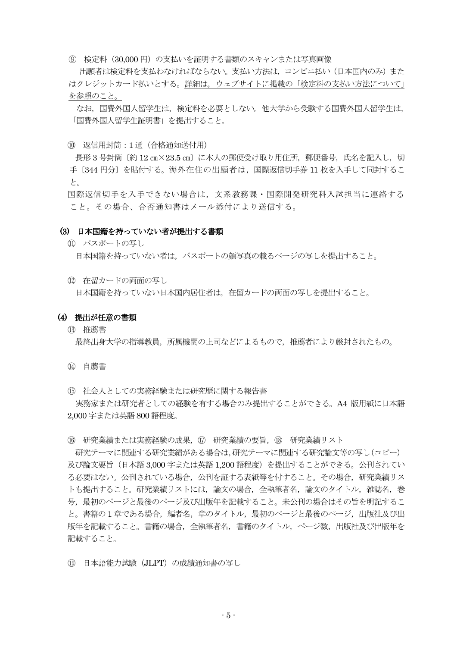⑨ 検定料(30,000 円)の支払いを証明する書類のスキャンまたは写真画像

出願者は検定料を支払わなければならない。支払い方法は,コンビニ払い(日本国内のみ)また はクレジットカード払いとする。詳細は,ウェブサイトに掲載の「検定料の支払い方法について」 を参照のこと。

なお,国費外国人留学生は,検定料を必要としない。他大学から受験する国費外国人留学生は, 「国費外国人留学生証明書」を提出すること。

⑩ 返信用封筒:1 通(合格通知送付用)

長形 3 号封筒 [約 12 cm×23.5 cm] に本人の郵便受け取り用住所, 郵便番号, 氏名を記入し, 切 手〔344 円分〕を貼付する。海外在住の出願者は,国際返信切手券 11 枚を入手して同封するこ と。

国際返信切手を入手できない場合は,文系教務課・国際開発研究科入試担当に連絡する こと。その場合、合否通知書はメール添付により送信する。

#### (3) 日本国籍を持っていない者が提出する書類

- ⑪ パスポートの写し 日本国籍を持っていない者は,パスポートの顔写真の載るページの写しを提出すること。
- ⑫ 在留カードの両面の写し

日本国籍を持っていない日本国内居住者は,在留カードの両面の写しを提出すること。

#### (4) 提出が任意の書類

⑬ 推薦書

最終出身大学の指導教員,所属機関の上司などによるもので,推薦者により厳封されたもの。

- ⑭ 自薦書
- ⑮ 社会人としての実務経験または研究歴に関する報告書

 実務家または研究者としての経験を有する場合のみ提出することができる。A4 版用紙に日本語 2,000 字または英語 800 語程度。

⑯ 研究業績または実務経験の成果,⑰ 研究業績の要旨,⑱ 研究業績リスト

 研究テーマに関連する研究業績がある場合は,研究テーマに関連する研究論文等の写し(コピー) 及び論文要旨(日本語 3,000 字または英語 1,200 語程度)を提出することができる。公刊されてい る必要はない。公刊されている場合,公刊を証する表紙等を付すること。その場合,研究業績リス トも提出すること。研究業績リストには,論文の場合,全執筆者名,論文のタイトル,雑誌名,巻 号、最初のページと最後のページ及び出版年を記載すること。未公刊の場合はその旨を明記するこ と。書籍の1章である場合,編者名,章のタイトル,最初のページと最後のページ,出版社及び出 版年を記載すること。書籍の場合,全執筆者名,書籍のタイトル,ページ数,出版社及び出版年を 記載すること。

⑲ 日本語能力試験(JLPT)の成績通知書の写し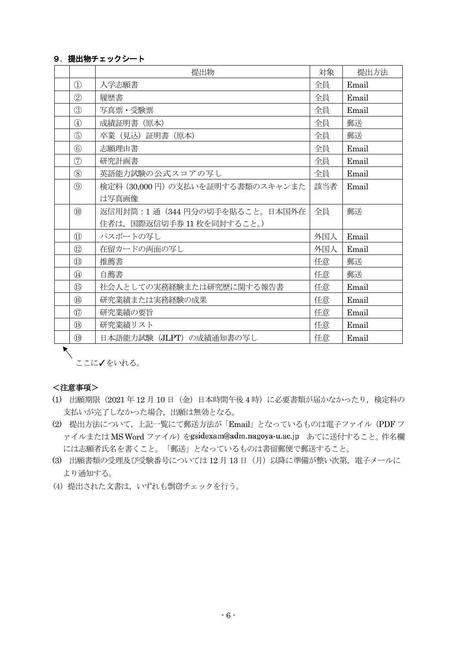#### 9. 提出物チェックシート

|                              | 提出物                              | 対象  | 提出方法  |
|------------------------------|----------------------------------|-----|-------|
| $\circled{1}$                | 入学志願書                            | 全員  | Email |
| $\circled{2}$                | 履歴書                              | 全員  | Email |
| $\circled{3}$                | 写真票·受験票                          | 全員  | Email |
| $\circled{4}$                | 成績証明書 (原本)                       | 全員  | 郵送    |
| $\circledS$                  | 卒業(見込)証明書(原本)                    | 全員  | 郵送    |
| $\circledS$                  | 志願理由書                            | 全員  | Email |
| $\circledcirc$               | 研究計画書                            | 全員  | Email |
| $\circledS$                  | 英語能力試験の公式スコアの写し                  | 全員  | Email |
| (9)                          | 検定料 (30,000円) の支払いを証明する書類のスキャンまた | 該当者 | Email |
|                              | は写真画像                            |     |       |
| $\circledR$                  | 返信用封筒: 1 通 (344 円分の切手を貼ること。日本国外在 | 全員  | 郵送    |
|                              | 住者は、国際返信切手券11枚を同封すること。)          |     |       |
| $\textcircled{1}$            | パスポートの写し                         | 外国人 | Email |
| $\circled{1}$                | 在留カードの両面の写し                      | 外国人 | Email |
| $\circled{1}$                | 推薦書                              | 任意  | 郵送    |
| $\circled{4}$                | 自薦書                              | 任意  | 郵送    |
| $\overline{\textbf{(b)}}$    | 社会人としての実務経験または研究歴に関する報告書         | 任意  | Email |
| $\circledR$                  | 研究業績または実務経験の成果                   | 任意  | Email |
| $\left( \overline{1}\right)$ | 研究業績の要旨                          | 任意  | Email |
| $\circledR$                  | 研究業績リスト                          | 任意  | Email |
| $\overline{19}$              | 日本語能力試験 (JLPT) の成績通知書の写し         | 任意  | Email |

●<br>ここに√をいれる。

#### <注意事項>

- (1) 出願期限(2021 年 12 月 10 日(金)日本時間午後 4 時)に必要書類が届かなかったり,検定料の 支払いが完了しなかった場合,出願は無効となる。
- (2) 提出方法について,上記一覧にて郵送方法が「Email」となっているものは電子ファイル(PDF フ ァイルまたは MS Word ファイル)をgsidexam@adm.nagoya-u.ac.jp あてに送付すること。件名欄 には志願者氏名を書くこと。「郵送」となっているものは書留郵便で郵送すること。
- (3) 出願書類の受理及び受験番号については 12 月 13 日(月)以降に準備が整い次第,電子メールに より通知する。
- (4) 提出された文書は,いずれも剽窃チェックを行う。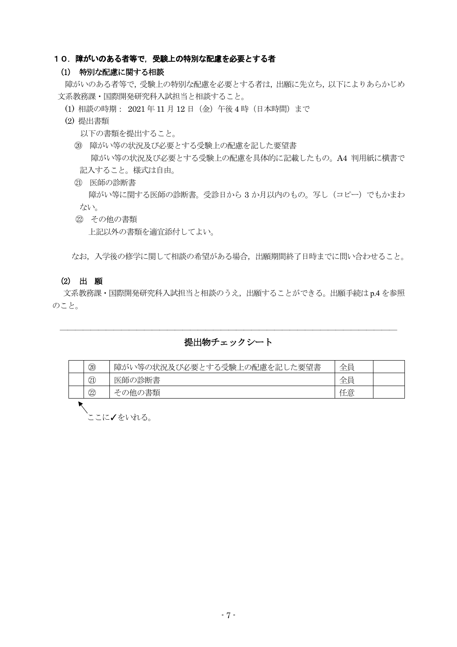#### 10. 障がいのある者等で,受験上の特別な配慮を必要とする者

#### (1) 特別な配慮に関する相談

障がいのある者等で,受験上の特別な配慮を必要とする者は,出願に先立ち,以下によりあらかじめ 文系教務課・国際開発研究科入試担当と相談すること。

- (1) 相談の時期: 2021 年 11 月 12 日(金)午後 4 時(日本時間)まで
- (2) 提出書類
	- 以下の書類を提出すること。
	- ⑳ 障がい等の状況及び必要とする受験上の配慮を記した要望書 障がい等の状況及び必要とする受験上の配慮を具体的に記載したもの。A4 判用紙に横書で 記入すること。様式は自由。
	- ㉑ 医師の診断書

障がい等に関する医師の診断書。受診日から 3 か月以内のもの。写し (コピー) でもかまわ ない。

 ㉒ その他の書類 上記以外の書類を適宜添付してよい。

なお,入学後の修学に関して相談の希望がある場合,出願期間終了日時までに問い合わせること。

#### (2) 出 願

文系教務課・国際開発研究科入試担当と相談のうえ,出願することができる。出願手続は p.4 を参照 のこと。

#### ―――――――――――――――――――――――――――――――――――――――――――― 提出物チェックシート

|  | 20                        | 、等の状況及び必要とする受験上の配慮を記した要望書<br>障がい | 仝昌<br>$\overline{ }$ |  |  |
|--|---------------------------|----------------------------------|----------------------|--|--|
|  | $\textcircled{1}$         | 医師の診断書                           | 全冒                   |  |  |
|  | $^\text{\textregistered}$ | )書類<br>その他の                      | 任意                   |  |  |
|  |                           |                                  |                      |  |  |

ヽ<br><sup>ヽ</sup>゙゠゠に**ノ**をいれる。